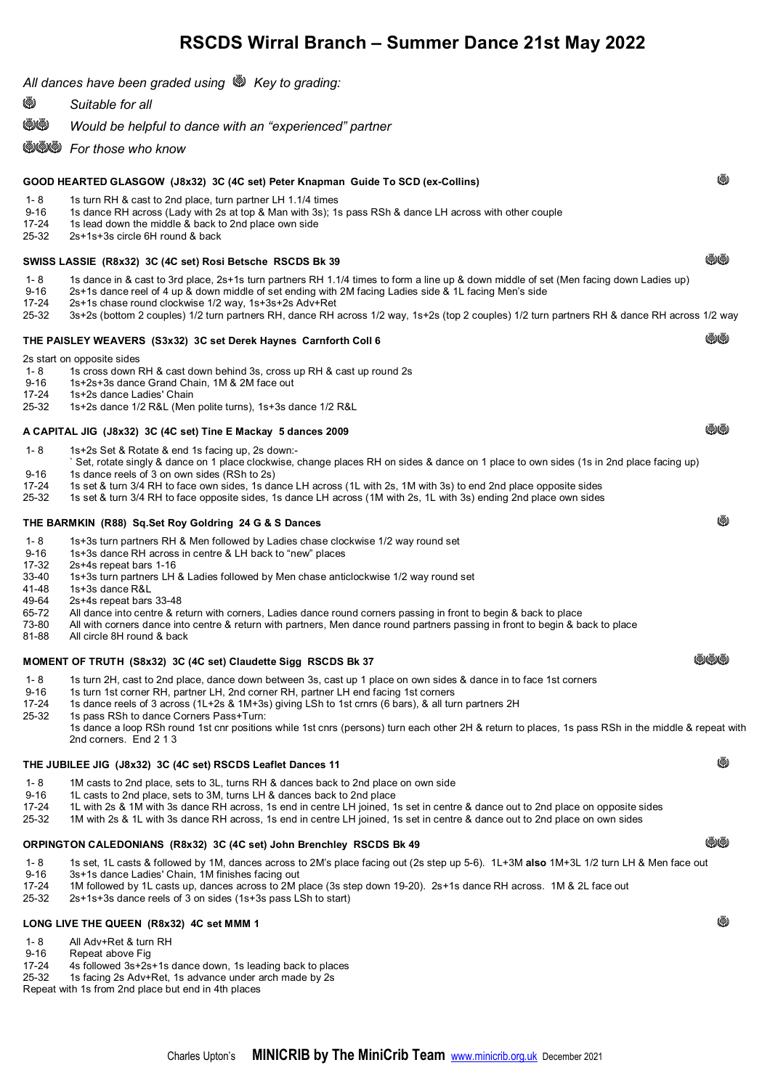# **RSCDS Wirral Branch – Summer Dance 21st May 2022**

| All dances have been graded using \\\ Key to grading:                                   |                                                                                                                                                                                                                                                                                                                                                                                                                                                                                                                                                                                                     |        |  |
|-----------------------------------------------------------------------------------------|-----------------------------------------------------------------------------------------------------------------------------------------------------------------------------------------------------------------------------------------------------------------------------------------------------------------------------------------------------------------------------------------------------------------------------------------------------------------------------------------------------------------------------------------------------------------------------------------------------|--------|--|
| Ø                                                                                       | Suitable for all                                                                                                                                                                                                                                                                                                                                                                                                                                                                                                                                                                                    |        |  |
| ৩৩                                                                                      | Would be helpful to dance with an "experienced" partner                                                                                                                                                                                                                                                                                                                                                                                                                                                                                                                                             |        |  |
|                                                                                         | <b>WWW</b> For those who know                                                                                                                                                                                                                                                                                                                                                                                                                                                                                                                                                                       |        |  |
| (@)<br>GOOD HEARTED GLASGOW (J8x32) 3C (4C set) Peter Knapman Guide To SCD (ex-Collins) |                                                                                                                                                                                                                                                                                                                                                                                                                                                                                                                                                                                                     |        |  |
| $1 - 8$<br>$9 - 16$<br>17-24<br>25-32                                                   | 1s turn RH & cast to 2nd place, turn partner LH 1.1/4 times<br>1s dance RH across (Lady with 2s at top & Man with 3s); 1s pass RSh & dance LH across with other couple<br>1s lead down the middle & back to 2nd place own side<br>2s+1s+3s circle 6H round & back                                                                                                                                                                                                                                                                                                                                   |        |  |
| (@)(@)<br>SWISS LASSIE (R8x32) 3C (4C set) Rosi Betsche RSCDS Bk 39                     |                                                                                                                                                                                                                                                                                                                                                                                                                                                                                                                                                                                                     |        |  |
| $1 - 8$<br>$9 - 16$<br>17-24<br>25-32                                                   | 1s dance in & cast to 3rd place, 2s+1s turn partners RH 1.1/4 times to form a line up & down middle of set (Men facing down Ladies up)<br>2s+1s dance reel of 4 up & down middle of set ending with 2M facing Ladies side & 1L facing Men's side<br>2s+1s chase round clockwise 1/2 way, 1s+3s+2s Adv+Ret<br>3s+2s (bottom 2 couples) 1/2 turn partners RH, dance RH across 1/2 way, 1s+2s (top 2 couples) 1/2 turn partners RH & dance RH across 1/2 way                                                                                                                                           |        |  |
|                                                                                         | THE PAISLEY WEAVERS (S3x32) 3C set Derek Haynes Carnforth Coll 6                                                                                                                                                                                                                                                                                                                                                                                                                                                                                                                                    | (@)(@) |  |
| $1 - 8$<br>$9 - 16$<br>17-24<br>25-32                                                   | 2s start on opposite sides<br>1s cross down RH & cast down behind 3s, cross up RH & cast up round 2s<br>1s+2s+3s dance Grand Chain, 1M & 2M face out<br>1s+2s dance Ladies' Chain<br>1s+2s dance 1/2 R&L (Men polite turns), 1s+3s dance 1/2 R&L                                                                                                                                                                                                                                                                                                                                                    |        |  |
| (@)(@)<br>A CAPITAL JIG (J8x32) 3C (4C set) Tine E Mackay 5 dances 2009                 |                                                                                                                                                                                                                                                                                                                                                                                                                                                                                                                                                                                                     |        |  |
| $1 - 8$<br>$9 - 16$<br>17-24<br>25-32                                                   | 1s+2s Set & Rotate & end 1s facing up, 2s down:-<br>`Set, rotate singly & dance on 1 place clockwise, change places RH on sides & dance on 1 place to own sides (1s in 2nd place facing up)<br>1s dance reels of 3 on own sides (RSh to 2s)<br>1s set & turn 3/4 RH to face own sides, 1s dance LH across (1L with 2s, 1M with 3s) to end 2nd place opposite sides<br>1s set & turn 3/4 RH to face opposite sides, 1s dance LH across (1M with 2s, 1L with 3s) ending 2nd place own sides                                                                                                           |        |  |
| (@)<br>THE BARMKIN (R88) Sq.Set Roy Goldring 24 G & S Dances                            |                                                                                                                                                                                                                                                                                                                                                                                                                                                                                                                                                                                                     |        |  |
| $1 - 8$<br>$9 - 16$<br>17-32<br>33-40<br>41-48<br>49-64<br>65-72<br>73-80<br>81-88      | 1s+3s turn partners RH & Men followed by Ladies chase clockwise 1/2 way round set<br>1s+3s dance RH across in centre & LH back to "new" places<br>2s+4s repeat bars 1-16<br>1s+3s turn partners LH & Ladies followed by Men chase anticlockwise 1/2 way round set<br>1s+3s dance R&L<br>2s+4s repeat bars 33-48<br>All dance into centre & return with corners, Ladies dance round corners passing in front to begin & back to place<br>All with corners dance into centre & return with partners, Men dance round partners passing in front to begin & back to place<br>All circle 8H round & back |        |  |
| (@)(@)(@)<br>MOMENT OF TRUTH (S8x32) 3C (4C set) Claudette Sigg RSCDS Bk 37             |                                                                                                                                                                                                                                                                                                                                                                                                                                                                                                                                                                                                     |        |  |
| 1-8<br>$9 - 16$<br>17-24<br>25-32                                                       | 1s turn 2H, cast to 2nd place, dance down between 3s, cast up 1 place on own sides & dance in to face 1st corners<br>1s turn 1st corner RH, partner LH, 2nd corner RH, partner LH end facing 1st corners<br>1s dance reels of 3 across (1L+2s & 1M+3s) giving LSh to 1st crnrs (6 bars), & all turn partners 2H<br>1s pass RSh to dance Corners Pass+Turn:<br>1s dance a loop RSh round 1st cnr positions while 1st cnrs (persons) turn each other 2H & return to places, 1s pass RSh in the middle & repeat with<br>2nd corners. End 2 1 3                                                         |        |  |
|                                                                                         | ⋓<br>THE JUBILEE JIG (J8x32) 3C (4C set) RSCDS Leaflet Dances 11                                                                                                                                                                                                                                                                                                                                                                                                                                                                                                                                    |        |  |
| 1-8<br>$9 - 16$<br>17-24<br>25-32                                                       | 1M casts to 2nd place, sets to 3L, turns RH & dances back to 2nd place on own side<br>1L casts to 2nd place, sets to 3M, turns LH & dances back to 2nd place<br>1L with 2s & 1M with 3s dance RH across, 1s end in centre LH joined, 1s set in centre & dance out to 2nd place on opposite sides<br>1M with 2s & 1L with 3s dance RH across, 1s end in centre LH joined, 1s set in centre & dance out to 2nd place on own sides                                                                                                                                                                     |        |  |
| (@)(@)<br>ORPINGTON CALEDONIANS (R8x32) 3C (4C set) John Brenchley RSCDS Bk 49          |                                                                                                                                                                                                                                                                                                                                                                                                                                                                                                                                                                                                     |        |  |
| 1-8<br>$9 - 16$<br>17-24<br>25-32                                                       | 1s set, 1L casts & followed by 1M, dances across to 2M's place facing out (2s step up 5-6). 1L+3M also 1M+3L 1/2 turn LH & Men face out<br>3s+1s dance Ladies' Chain, 1M finishes facing out<br>1M followed by 1L casts up, dances across to 2M place (3s step down 19-20). 2s+1s dance RH across. 1M & 2L face out<br>2s+1s+3s dance reels of 3 on sides (1s+3s pass LSh to start)                                                                                                                                                                                                                 |        |  |
| Ø<br>LONG LIVE THE QUEEN (R8x32) 4C set MMM 1                                           |                                                                                                                                                                                                                                                                                                                                                                                                                                                                                                                                                                                                     |        |  |
| 1-8<br>$9 - 16$                                                                         | All Adv+Ret & turn RH<br>Repeat above Fig.                                                                                                                                                                                                                                                                                                                                                                                                                                                                                                                                                          |        |  |

- 9-16 Repeat above Fig
- 17-24 4s followed 3s+2s+1s dance down, 1s leading back to places
- 25-32 1s facing 2s Adv+Ret, 1s advance under arch made by 2s

Repeat with 1s from 2nd place but end in 4th places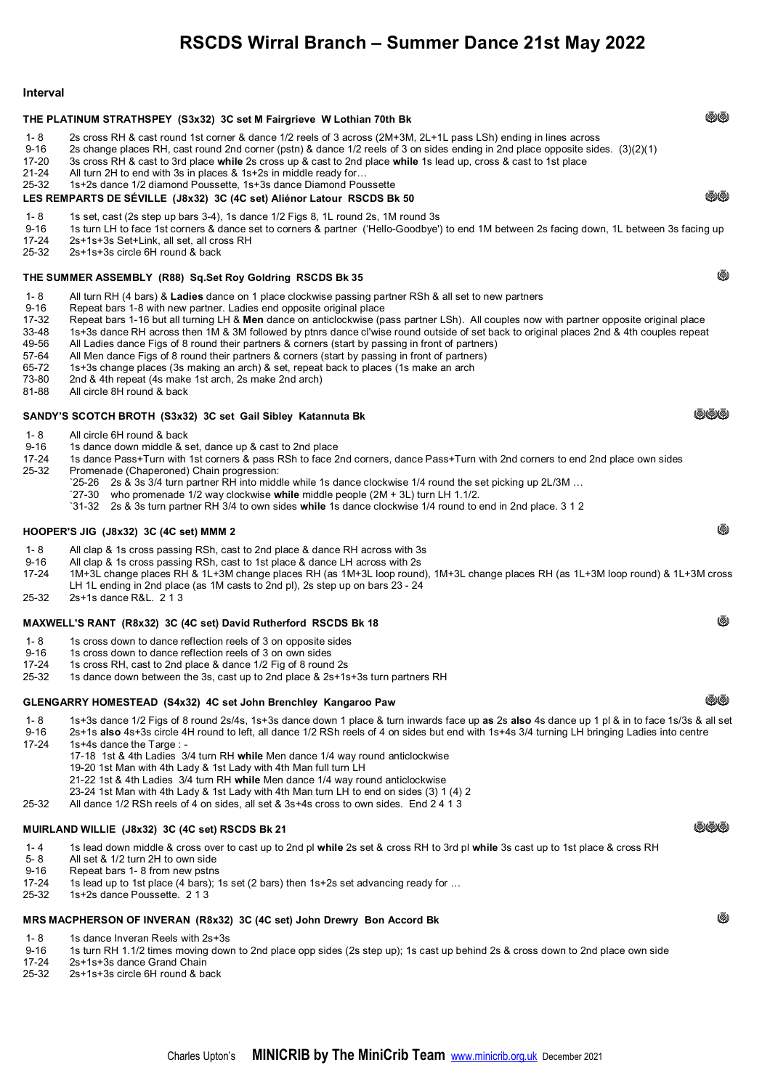# **RSCDS Wirral Branch – Summer Dance 21st May 2022**

#### **Interval**  THE PLATINUM STRATHSPEY (S3x32) 3C set M Fairgrieve W Lothian 70th Bk 1- 8 2s cross RH & cast round 1st corner & dance 1/2 reels of 3 across (2M+3M, 2L+1L pass LSh) ending in lines across 9-16 2s change places RH, cast round 2nd corner (pstn) & dance 1/2 reels of 3 on sides ending in 2nd place opposite sides.  $(3)(2)(1)$ <br>17-20 3s cross RH & cast to 3rd place while 2s cross up & cast to 2nd place while 1s lea 17-20 3s cross RH & cast to 3rd place **while** 2s cross up & cast to 2nd place **while** 1s lead up, cross & cast to 1st place 21-24 All turn 2H to end with 3s in places & 1s+2s in middle ready for… 25-32 1s+2s dance 1/2 diamond Poussette, 1s+3s dance Diamond Poussette **LES REMPARTS DE SÉVILLE (J8x32) 3C (4C set) Aliénor Latour RSCDS Bk 50** NNO NO NO NO NO NO NO NO NO NO NO NO N 1- 8 1s set, cast (2s step up bars 3-4), 1s dance 1/2 Figs 8, 1L round 2s, 1M round 3s 9-16 1s turn LH to face 1st corners & dance set to corners & partner ('Hello-Goodbye') to end 1M between 2s facing down, 1L between 3s facing up<br>17-24 2s+1s+3s Set+Link all set all cross RH 17-24 2s+1s+3s Set+Link, all set, all cross RH 25-32 2s+1s+3s circle 6H round & back **THE SUMMER ASSEMBLY (R88) Sq.Set Roy Goldring RSCDS Bk 35 <b>No. 35** No. 35 **No. 36** No. 36 No. 36 No. 36 No. 36 No. 36 No. 36 No. 36 No. 36 No. 37 No. 38 No. 38 No. 38 No. 38 No. 39 No. 38 No. 39 No. 39 No. 39 No. 39 No. 3 1- 8 All turn RH (4 bars) & **Ladies** dance on 1 place clockwise passing partner RSh & all set to new partners 9-16 Repeat bars 1-8 with new partner. Ladies end opposite original place<br>17-32 Repeat bars 1-16 but all turning LH & **Men** dance on anticlockwise (p 17-32 Repeat bars 1-16 but all turning LH & **Men** dance on anticlockwise (pass partner LSh). All couples now with partner opposite original place 33-48 1s+3s dance RH across then 1M & 3M followed by ptnrs dance cl'wise round outside of set back to original places 2nd & 4th couples repeat 49-56 All Ladies dance Figs of 8 round their partners & corners (start by passing in front of partners) 57-64 All Men dance Figs of 8 round their partners & corners (start by passing in front of partners)<br>65-72 1s+3s change places (3s making an arch) & set, repeat back to places (1s make an arch 65-72 1s+3s change places (3s making an arch) & set, repeat back to places (1s make an arch 73-80 2nd & 4th repeat (4s make 1st arch, 2s make 2nd arch)<br>81-88 All circle 8H round & back All circle 8H round & back SANDY'S SCOTCH BROTH (S3x32) 3C set Gail Sibley Katannuta Bk Nannuta Bk Nannuta B Nannuta B Nannuta B Nannuta B N 1- 8 All circle 6H round  $\&$  back<br>9-16 1s dance down middle  $\&$  s 9-16 1s dance down middle & set, dance up & cast to 2nd place<br>17-24 1s dance Pass+Turn with 1st corners & pass RSh to face 2 1s dance Pass+Turn with 1st corners & pass RSh to face 2nd corners, dance Pass+Turn with 2nd corners to end 2nd place own sides 25-32 Promenade (Chaperoned) Chain progression: `25-26 2s & 3s 3/4 turn partner RH into middle while 1s dance clockwise 1/4 round the set picking up 2L/3M … `27-30 who promenade 1/2 way clockwise **while** middle people (2M + 3L) turn LH 1.1/2. `31-32 2s & 3s turn partner RH 3/4 to own sides **while** 1s dance clockwise 1/4 round to end in 2nd place. 3 1 2 **HOOPER'S JIG** (J8x32) 3C (4C set) MMM 2  $\bullet$  1- 8 All clap & 1s cross passing RSh, cast to 2nd place & dance RH across with 3s 9-16 All clap & 1s cross passing RSh, cast to 1st place & dance LH across with 2s<br>17-24 1M+3L change places RH & 1L+3M change places RH (as 1M+3L loop round 17-24 1M+3L change places RH & 1L+3M change places RH (as 1M+3L loop round), 1M+3L change places RH (as 1L+3M loop round) & 1L+3M cross LH 1L ending in 2nd place (as 1M casts to 2nd pl), 2s step up on bars 23 - 24 25-32 2s+1s dance R&L. 2 1 3 **MAXWELL'S RANT (R8x32) 3C (4C set) David Rutherford RSCDS Bk 18** New York Control and AXWELL'S RANT (R8x32) 3C (4C set) David Rutherford RSCDS Bk 18

- 1- 8 1s cross down to dance reflection reels of 3 on opposite sides<br>9-16 1s cross down to dance reflection reels of 3 on own sides
- 9-16 1s cross down to dance reflection reels of 3 on own sides<br>17-24 1s cross RH cast to 2nd place & dance 1/2 Fig of 8 round
- 1s cross RH, cast to 2nd place & dance 1/2 Fig of 8 round 2s
- 25-32 1s dance down between the 3s, cast up to 2nd place & 2s+1s+3s turn partners RH

### GLENGARRY HOMESTEAD (S4x32) 4C set John Brenchley Kangaroo Paw Names **Contract Set Accord 1999**

- 1- 8 1s+3s dance 1/2 Figs of 8 round 2s/4s, 1s+3s dance down 1 place & turn inwards face up **as** 2s **also** 4s dance up 1 pl & in to face 1s/3s & all set
- 9-16 2s+1s **also** 4s+3s circle 4H round to left, all dance 1/2 RSh reels of 4 on sides but end with 1s+4s 3/4 turning LH bringing Ladies into centre 1s+4s dance the Targe : -
	- 17-18 1st & 4th Ladies 3/4 turn RH **while** Men dance 1/4 way round anticlockwise
		- 19-20 1st Man with 4th Lady & 1st Lady with 4th Man full turn LH
		- 21-22 1st & 4th Ladies 3/4 turn RH **while** Men dance 1/4 way round anticlockwise
	- 23-24 1st Man with 4th Lady & 1st Lady with 4th Man turn LH to end on sides (3) 1 (4) 2

25-32 All dance 1/2 RSh reels of 4 on sides, all set & 3s+4s cross to own sides. End 2 4 1 3

## **MUIRLAND WILLIE (J8x32) 3C (4C set) RSCDS Bk 21** NNN

- 1- 4 1s lead down middle & cross over to cast up to 2nd pl **while** 2s set & cross RH to 3rd pl **while** 3s cast up to 1st place & cross RH
- 5- 8 All set & 1/2 turn 2H to own side<br>9-16 Repeat bars 1- 8 from new pstns
- 9-16 Repeat bars 1-8 from new pstns<br>17-24 1s lead up to 1st place (4 bars)
- 1s lead up to 1st place (4 bars); 1s set (2 bars) then 1s+2s set advancing ready for ...
- 25-32 1s+2s dance Poussette. 2 1 3

## **MRS MACPHERSON OF INVERAN (R8x32) 3C (4C set) John Drewry Bon Accord Bk** N

- 1- 8 1s dance Inveran Reels with 2s+3s
- 9-16 1s turn RH 1.1/2 times moving down to 2nd place opp sides (2s step up); 1s cast up behind 2s & cross down to 2nd place own side<br>17-24 2s+1s+3s dance Grand Chain
- 17-24 2s+1s+3s dance Grand Chain<br>25-32 2s+1s+3s circle 6H round & ba
- 2s+1s+3s circle 6H round & back